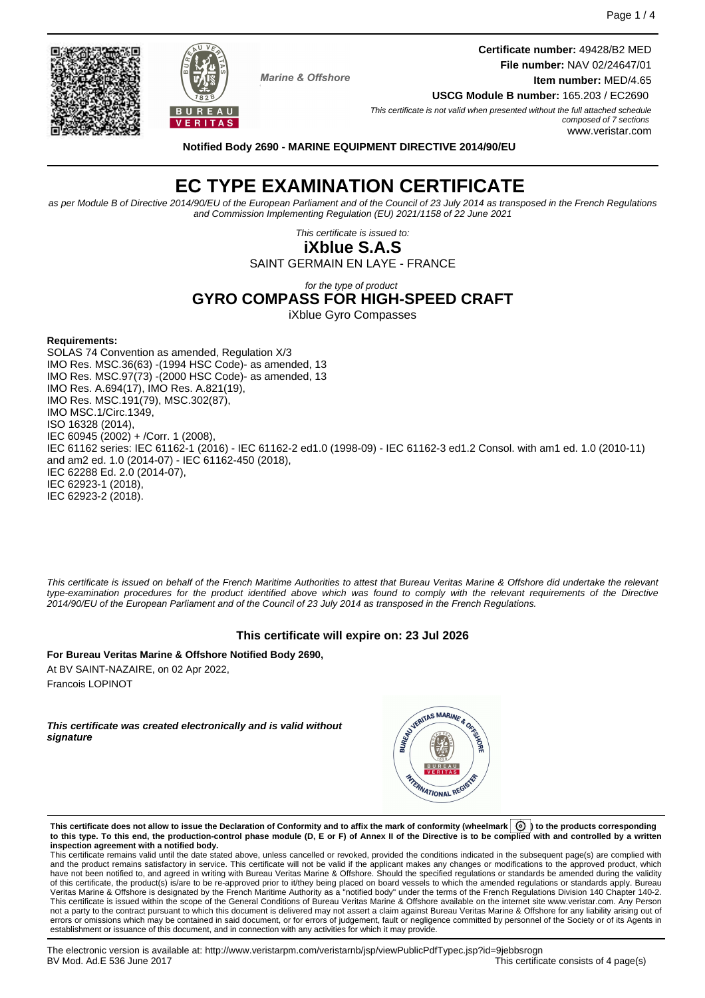**Certificate number:** 49428/B2 MED **File number:** NAV 02/24647/01 **Item number:** MED/4.65



**Notified Body 2690 - MARINE EQUIPMENT DIRECTIVE 2014/90/EU**

**Marine & Offshore** 

BUREAU **VERITAS** 

# **EC TYPE EXAMINATION CERTIFICATE**

as per Module B of Directive 2014/90/EU of the European Parliament and of the Council of 23 July 2014 as transposed in the French Regulations and Commission Implementing Regulation (EU) 2021/1158 of 22 June 2021

This certificate is issued to:

**iXblue S.A.S** SAINT GERMAIN EN LAYE - FRANCE

#### for the type of product **GYRO COMPASS FOR HIGH-SPEED CRAFT**

iXblue Gyro Compasses

#### **Requirements:**

SOLAS 74 Convention as amended, Regulation X/3 IMO Res. MSC.36(63) -(1994 HSC Code)- as amended, 13 IMO Res. MSC.97(73) -(2000 HSC Code)- as amended, 13 IMO Res. A.694(17), IMO Res. A.821(19), IMO Res. MSC.191(79), MSC.302(87), IMO MSC.1/Circ.1349, ISO 16328 (2014), IEC 60945 (2002) + /Corr. 1 (2008), IEC 61162 series: IEC 61162-1 (2016) - IEC 61162-2 ed1.0 (1998-09) - IEC 61162-3 ed1.2 Consol. with am1 ed. 1.0 (2010-11) and am2 ed. 1.0 (2014-07) - IEC 61162-450 (2018), IEC 62288 Ed. 2.0 (2014-07), IEC 62923-1 (2018), IEC 62923-2 (2018).

This certificate is issued on behalf of the French Maritime Authorities to attest that Bureau Veritas Marine & Offshore did undertake the relevant type-examination procedures for the product identified above which was found to comply with the relevant requirements of the Directive 2014/90/EU of the European Parliament and of the Council of 23 July 2014 as transposed in the French Regulations.

## **This certificate will expire on: 23 Jul 2026**

**For Bureau Veritas Marine & Offshore Notified Body 2690,** At BV SAINT-NAZAIRE, on 02 Apr 2022, Francois LOPINOT

**This certificate was created electronically and is valid without signature**



**This certificate does not allow to issue the Declaration of Conformity and to affix the mark of conformity (wheelmark ) to the products corresponding to this type. To this end, the production-control phase module (D, E or F) of Annex II of the Directive is to be complied with and controlled by a written inspection agreement with a notified body.**

This certificate remains valid until the date stated above, unless cancelled or revoked, provided the conditions indicated in the subsequent page(s) are complied with and the product remains satisfactory in service. This certificate will not be valid if the applicant makes any changes or modifications to the approved product, which have not been notified to, and agreed in writing with Bureau Veritas Marine & Offshore. Should the specified regulations or standards be amended during the validity of this certificate, the product(s) is/are to be re-approved prior to it/they being placed on board vessels to which the amended regulations or standards apply. Bureau<br>Veritas Marine & Offshore is designated by the French not a party to the contract pursuant to which this document is delivered may not assert a claim against Bureau Veritas Marine & Offshore for any liability arising out of errors or omissions which may be contained in said document, or for errors of judgement, fault or negligence committed by personnel of the Society or of its Agents in establishment or issuance of this document, and in connection with any activities for which it may provide.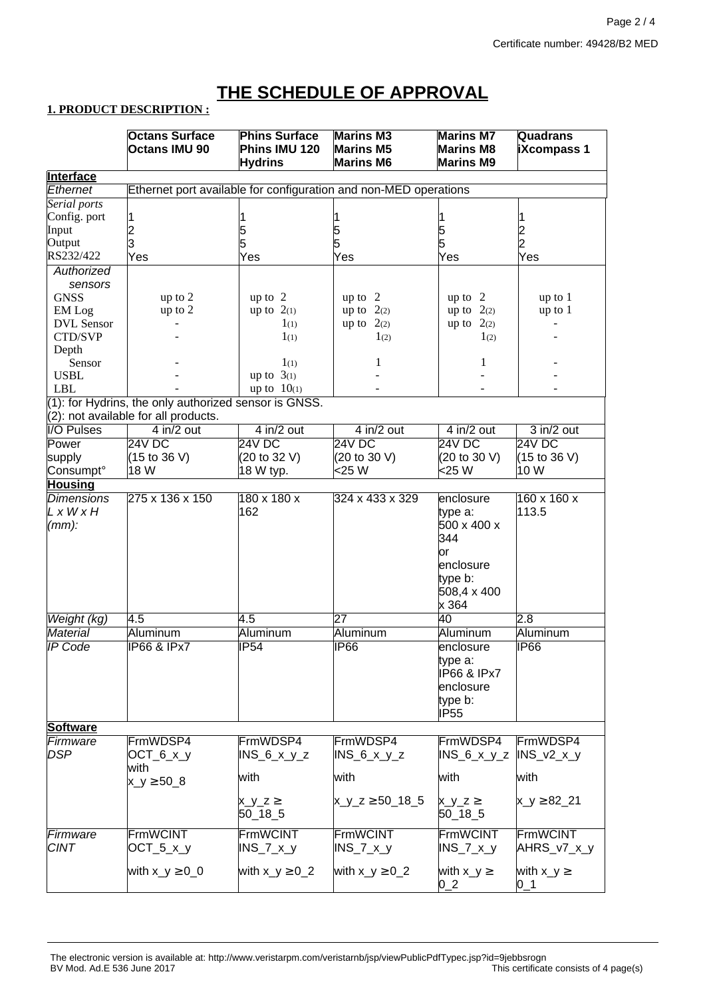## **THE SCHEDULE OF APPROVAL**

## **1. PRODUCT DESCRIPTION :**

|                        | <b>Octans Surface</b>                                            | <b>Phins Surface</b>      | <b>Marins M3</b>        | <b>Marins M7</b>        | Quadrans                        |  |  |  |  |
|------------------------|------------------------------------------------------------------|---------------------------|-------------------------|-------------------------|---------------------------------|--|--|--|--|
|                        | <b>Octans IMU 90</b>                                             | Phins IMU 120             | <b>Marins M5</b>        | <b>Marins M8</b>        | <b>iXcompass 1</b>              |  |  |  |  |
|                        |                                                                  | <b>Hydrins</b>            | <b>Marins M6</b>        | <b>Marins M9</b>        |                                 |  |  |  |  |
| <b>Interface</b>       |                                                                  |                           |                         |                         |                                 |  |  |  |  |
| Ethernet               | Ethernet port available for configuration and non-MED operations |                           |                         |                         |                                 |  |  |  |  |
| Serial ports           |                                                                  |                           |                         |                         |                                 |  |  |  |  |
| Config. port           | 1                                                                |                           |                         |                         |                                 |  |  |  |  |
| Input                  | $\overline{c}$                                                   | 5                         | 5<br>5                  | 5<br>5                  |                                 |  |  |  |  |
| Output                 | 3                                                                |                           |                         |                         | 2<br>2<br>Yes                   |  |  |  |  |
| RS232/422              | Yes                                                              | Yes                       | Yes                     | Yes                     |                                 |  |  |  |  |
| Authorized             |                                                                  |                           |                         |                         |                                 |  |  |  |  |
| sensors                | up to 2                                                          |                           |                         |                         | up to 1                         |  |  |  |  |
| <b>GNSS</b><br>EM Log  | up to 2                                                          | up to $2$<br>up to $2(1)$ | up to 2<br>up to $2(2)$ | up to 2<br>up to $2(2)$ | up to 1                         |  |  |  |  |
| <b>DVL</b> Sensor      |                                                                  | $1_{(1)}$                 | up to $2(2)$            | up to $2(2)$            |                                 |  |  |  |  |
| CTD/SVP                |                                                                  | $1_{(1)}$                 | 1(2)                    | 1(2)                    |                                 |  |  |  |  |
| Depth                  |                                                                  |                           |                         |                         |                                 |  |  |  |  |
| Sensor                 |                                                                  | $1_{(1)}$                 | 1                       | 1                       |                                 |  |  |  |  |
| <b>USBL</b>            |                                                                  | up to $3(1)$              |                         |                         |                                 |  |  |  |  |
| <b>LBL</b>             |                                                                  | up to $10(1)$             |                         |                         |                                 |  |  |  |  |
|                        | (1): for Hydrins, the only authorized sensor is GNSS.            |                           |                         |                         |                                 |  |  |  |  |
|                        | (2): not available for all products.                             |                           |                         |                         |                                 |  |  |  |  |
| <b>I/O Pulses</b>      | $4$ in/2 out                                                     | $4$ in/2 out              | $4$ in/2 out            | $4$ in/2 out            | $3$ in/ $2$ out                 |  |  |  |  |
| Power                  | $24V$ DC                                                         | 24V DC                    | $24V$ DC                | 24V DC                  | $24V$ DC                        |  |  |  |  |
| supply                 | (15 to 36 V)                                                     | (20 to 32 V)              | (20 to 30 V)            | (20 to 30 V)            | $(15 \text{ to } 36 \text{ V})$ |  |  |  |  |
| Consumpt <sup>o</sup>  | 18 W                                                             | 18 W typ.                 | <25 W                   | <25 W                   | 10 W                            |  |  |  |  |
| <b>Housing</b>         |                                                                  |                           |                         |                         |                                 |  |  |  |  |
| <b>Dimensions</b>      | 275 x 136 x 150                                                  | 180 x 180 x               | 324 x 433 x 329         | enclosure               | $160 \times 160 \times$         |  |  |  |  |
| LxWxH                  |                                                                  | 162                       |                         | type a:                 | 113.5                           |  |  |  |  |
| $(mm)$ :               |                                                                  |                           |                         | 500 x 400 x             |                                 |  |  |  |  |
|                        |                                                                  |                           |                         | 344                     |                                 |  |  |  |  |
|                        |                                                                  |                           |                         | or                      |                                 |  |  |  |  |
|                        |                                                                  |                           |                         | enclosure               |                                 |  |  |  |  |
|                        |                                                                  |                           |                         | type b:                 |                                 |  |  |  |  |
|                        |                                                                  |                           |                         | 508,4 x 400             |                                 |  |  |  |  |
|                        |                                                                  |                           |                         | x 364                   |                                 |  |  |  |  |
| Weight (kg)            | 4.5                                                              | 4.5                       | 27                      | 40                      | $2.8\,$                         |  |  |  |  |
| <b>Material</b>        | Aluminum                                                         | <b>Aluminum</b>           | Aluminum                | Aluminum                | Aluminum                        |  |  |  |  |
| <b>IP Code</b>         | <b>IP66 &amp; IPx7</b>                                           | IP54                      | IP <sub>66</sub>        | enclosure               | IP <sub>66</sub>                |  |  |  |  |
|                        |                                                                  |                           |                         | type a:                 |                                 |  |  |  |  |
|                        |                                                                  |                           |                         | <b>IP66 &amp; IPx7</b>  |                                 |  |  |  |  |
|                        |                                                                  |                           |                         | enclosure               |                                 |  |  |  |  |
|                        |                                                                  |                           |                         | type b:                 |                                 |  |  |  |  |
|                        |                                                                  |                           |                         | IP55                    |                                 |  |  |  |  |
| <b>Software</b>        |                                                                  |                           |                         |                         |                                 |  |  |  |  |
| Firmware<br><b>DSP</b> | FrmWDSP4                                                         | FrmWDSP4                  | FrmWDSP4                | FrmWDSP4                | FrmWDSP4                        |  |  |  |  |
|                        | $OCT_6_x_y$<br>with                                              | $INS_6_x_y_z$             | $INS_6_x_y_z$           | $INS_6_x_y_z$           | $INS_v2_x_y$                    |  |  |  |  |
|                        | $x_y \ge 50.8$                                                   | with                      | with                    | with                    | with                            |  |  |  |  |
|                        |                                                                  |                           |                         |                         |                                 |  |  |  |  |
|                        |                                                                  | $x_y_z \ge$               | $x_{y}$ z $\ge$ 50_18_5 | $x_y_z \ge$             | $x_y \ge 82.21$                 |  |  |  |  |
|                        |                                                                  | $50 - 18 - 5$             |                         | $50 - 18 - 5$           |                                 |  |  |  |  |
| Firmware               | FrmWCINT                                                         | <b>FrmWCINT</b>           | <b>FrmWCINT</b>         | FrmWCINT                | FrmWCINT                        |  |  |  |  |
| <b>CINT</b>            | $OCT_5_x_y$                                                      | INS_7_x_y                 | $INS_7_x_y$             | $INS_7_x_y$             | AHRS_v7_x_y                     |  |  |  |  |
|                        |                                                                  |                           |                         |                         |                                 |  |  |  |  |
|                        | with $x_y \ge 0$ 0                                               | with $x_y \ge 0$ 2        | with $x_y \geq 0$ 2     | with $x_y \ge$          | with $x_y \ge$                  |  |  |  |  |
|                        |                                                                  |                           |                         | $0_2$                   | $0_1$                           |  |  |  |  |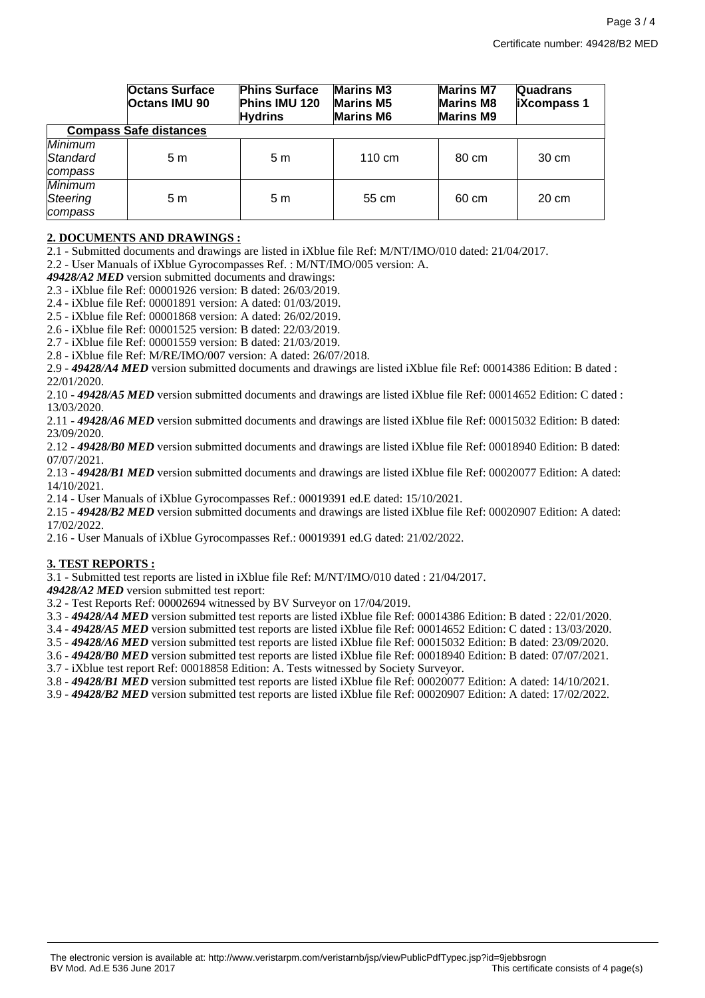|                                       | <b>Octans Surface</b><br><b>Octans IMU 90</b> | <b>Phins Surface</b><br>Phins IMU 120<br><b>Hydrins</b> | <b>Marins M3</b><br><b>Marins M5</b><br><b>Marins M6</b> | <b>Marins M7</b><br><b>Marins M8</b><br><b>Marins M9</b> | <b>Quadrans</b><br><b>iXcompass 1</b> |  |  |  |
|---------------------------------------|-----------------------------------------------|---------------------------------------------------------|----------------------------------------------------------|----------------------------------------------------------|---------------------------------------|--|--|--|
| <b>Compass Safe distances</b>         |                                               |                                                         |                                                          |                                                          |                                       |  |  |  |
| <b>Minimum</b><br>Standard<br>compass | 5m                                            | 5 m                                                     | 110 cm                                                   | 80 cm                                                    | 30 cm                                 |  |  |  |
| <b>Minimum</b><br>Steering<br>compass | 5m                                            | 5 <sub>m</sub>                                          | 55 cm                                                    | 60 cm                                                    | 20 cm                                 |  |  |  |

## **2. DOCUMENTS AND DRAWINGS :**

2.1 - Submitted documents and drawings are listed in iXblue file Ref: M/NT/IMO/010 dated: 21/04/2017.

2.2 - User Manuals of iXblue Gyrocompasses Ref. : M/NT/IMO/005 version: A.

*49428/A2 MED* version submitted documents and drawings:

2.3 - iXblue file Ref: 00001926 version: B dated: 26/03/2019.

2.4 - iXblue file Ref: 00001891 version: A dated: 01/03/2019.

2.5 - iXblue file Ref: 00001868 version: A dated: 26/02/2019.

2.6 - iXblue file Ref: 00001525 version: B dated: 22/03/2019.

2.7 - iXblue file Ref: 00001559 version: B dated: 21/03/2019.

2.8 - iXblue file Ref: M/RE/IMO/007 version: A dated: 26/07/2018.

2.9 - *49428/A4 MED* version submitted documents and drawings are listed iXblue file Ref: 00014386 Edition: B dated : 22/01/2020.

2.10 - *49428/A5 MED* version submitted documents and drawings are listed iXblue file Ref: 00014652 Edition: C dated : 13/03/2020.

2.11 - *49428/A6 MED* version submitted documents and drawings are listed iXblue file Ref: 00015032 Edition: B dated: 23/09/2020.

2.12 - *49428/B0 MED* version submitted documents and drawings are listed iXblue file Ref: 00018940 Edition: B dated: 07/07/2021.

2.13 - *49428/B1 MED* version submitted documents and drawings are listed iXblue file Ref: 00020077 Edition: A dated: 14/10/2021.

2.14 - User Manuals of iXblue Gyrocompasses Ref.: 00019391 ed.E dated: 15/10/2021.

2.15 - *49428/B2 MED* version submitted documents and drawings are listed iXblue file Ref: 00020907 Edition: A dated: 17/02/2022.

2.16 - User Manuals of iXblue Gyrocompasses Ref.: 00019391 ed.G dated: 21/02/2022.

#### **3. TEST REPORTS :**

3.1 - Submitted test reports are listed in iXblue file Ref: M/NT/IMO/010 dated : 21/04/2017.

*49428/A2 MED* version submitted test report:

3.2 - Test Reports Ref: 00002694 witnessed by BV Surveyor on 17/04/2019.

3.3 - *49428/A4 MED* version submitted test reports are listed iXblue file Ref: 00014386 Edition: B dated : 22/01/2020.

3.4 - *49428/A5 MED* version submitted test reports are listed iXblue file Ref: 00014652 Edition: C dated : 13/03/2020.

3.5 - *49428/A6 MED* version submitted test reports are listed iXblue file Ref: 00015032 Edition: B dated: 23/09/2020.

3.6 - *49428/B0 MED* version submitted test reports are listed iXblue file Ref: 00018940 Edition: B dated: 07/07/2021.

3.7 - iXblue test report Ref: 00018858 Edition: A. Tests witnessed by Society Surveyor.

3.8 - *49428/B1 MED* version submitted test reports are listed iXblue file Ref: 00020077 Edition: A dated: 14/10/2021.

3.9 - *49428/B2 MED* version submitted test reports are listed iXblue file Ref: 00020907 Edition: A dated: 17/02/2022.